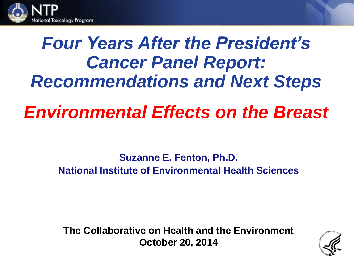

# *Four Years After the President's Cancer Panel Report: Recommendations and Next Steps*

## *Environmental Effects on the Breast*

**Suzanne E. Fenton, Ph.D. National Institute of Environmental Health Sciences**

**The Collaborative on Health and the Environment October 20, 2014**

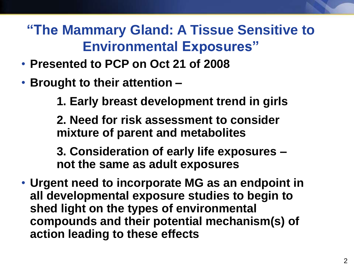### **"The Mammary Gland: A Tissue Sensitive to Environmental Exposures"**

- **Presented to PCP on Oct 21 of 2008**
- **Brought to their attention –**

**1. Early breast development trend in girls**

**2. Need for risk assessment to consider mixture of parent and metabolites** 

**3. Consideration of early life exposures – not the same as adult exposures** 

• **Urgent need to incorporate MG as an endpoint in all developmental exposure studies to begin to shed light on the types of environmental compounds and their potential mechanism(s) of action leading to these effects**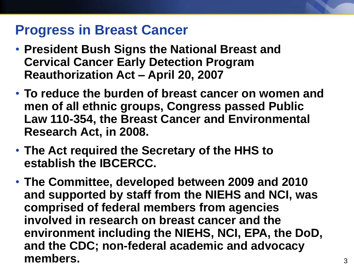#### **Progress in Breast Cancer**

- **President Bush Signs the National Breast and Cervical Cancer Early Detection Program Reauthorization Act – April 20, 2007**
- **To reduce the burden of breast cancer on women and men of all ethnic groups, Congress passed Public Law 110-354, the Breast Cancer and Environmental Research Act, in 2008.**
- **The Act required the Secretary of the HHS to establish the IBCERCC.**
- **The Committee, developed between 2009 and 2010 and supported by staff from the NIEHS and NCI, was comprised of federal members from agencies involved in research on breast cancer and the environment including the NIEHS, NCI, EPA, the DoD, and the CDC; non-federal academic and advocacy members.**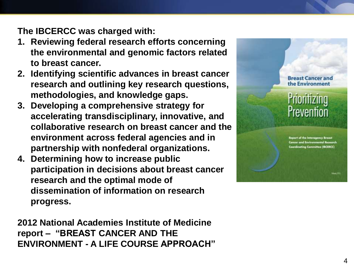**The IBCERCC was charged with :**

- **1. Reviewing federal research efforts concerning the environmental and genomic factors related to breast cancer .**
- **2. Identifying scientific advances in breast cancer research and outlining key research questions, methodologies, and knowledge gaps.**
- **3. Developing a comprehensive strategy for accelerating transdisciplinary, innovative, and collaborative research on breast cancer and the environment across federal agencies and in partnership with nonfederal organizations.**
- **4. Determining how to increase public participation in decisions about breast cancer research and the optimal mode of dissemination of information on research progress.**

**2012 National Academies Institute of Medicine report – "BREAST CANCER AND THE ENVIRONMENT - A LIFE COURSE APPROACH"** **Breast Cancer and** the Environment

### Prioritizing Prevention

Report of the Interagency Breast **Cancer and Environmental Research** Coordinating Committee (IBCERCC)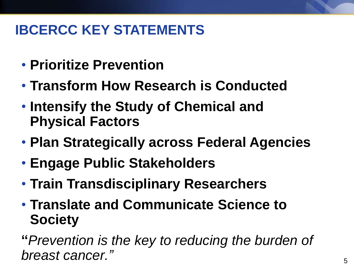### **IBCERCC KEY STATEMENTS**

- **Prioritize Prevention**
- **Transform How Research is Conducted**
- **Intensify the Study of Chemical and Physical Factors**
- **Plan Strategically across Federal Agencies**
- **Engage Public Stakeholders**
- **Train Transdisciplinary Researchers**
- **Translate and Communicate Science to Society**

**"***Prevention is the key to reducing the burden of breast cancer."*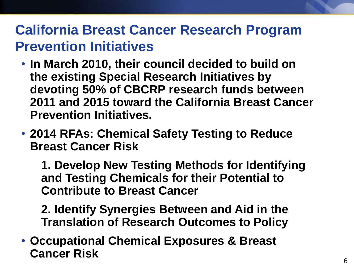#### **California Breast Cancer Research Program Prevention Initiatives**

- **In March 2010, their council decided to build on the existing Special Research Initiatives by devoting 50% of CBCRP research funds between 2011 and 2015 toward the California Breast Cancer Prevention Initiatives.**
- **2014 RFAs: Chemical Safety Testing to Reduce Breast Cancer Risk**

**1. Develop New Testing Methods for Identifying and Testing Chemicals for their Potential to Contribute to Breast Cancer**

**2. Identify Synergies Between and Aid in the Translation of Research Outcomes to Policy**

• **Occupational Chemical Exposures & Breast Cancer Risk**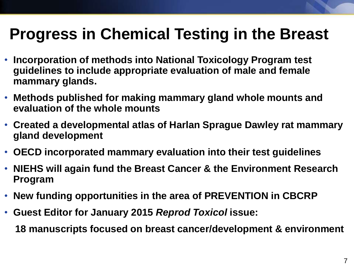### **Progress in Chemical Testing in the Breast**

- **Incorporation of methods into National Toxicology Program test guidelines to include appropriate evaluation of male and female mammary glands.**
- **Methods published for making mammary gland whole mounts and evaluation of the whole mounts**
- **Created a developmental atlas of Harlan Sprague Dawley rat mammary gland development**
- **OECD incorporated mammary evaluation into their test guidelines**
- **NIEHS will again fund the Breast Cancer & the Environment Research Program**
- **New funding opportunities in the area of PREVENTION in CBCRP**
- **Guest Editor for January 2015** *Reprod Toxicol* **issue:**

**18 manuscripts focused on breast cancer/development & environment**